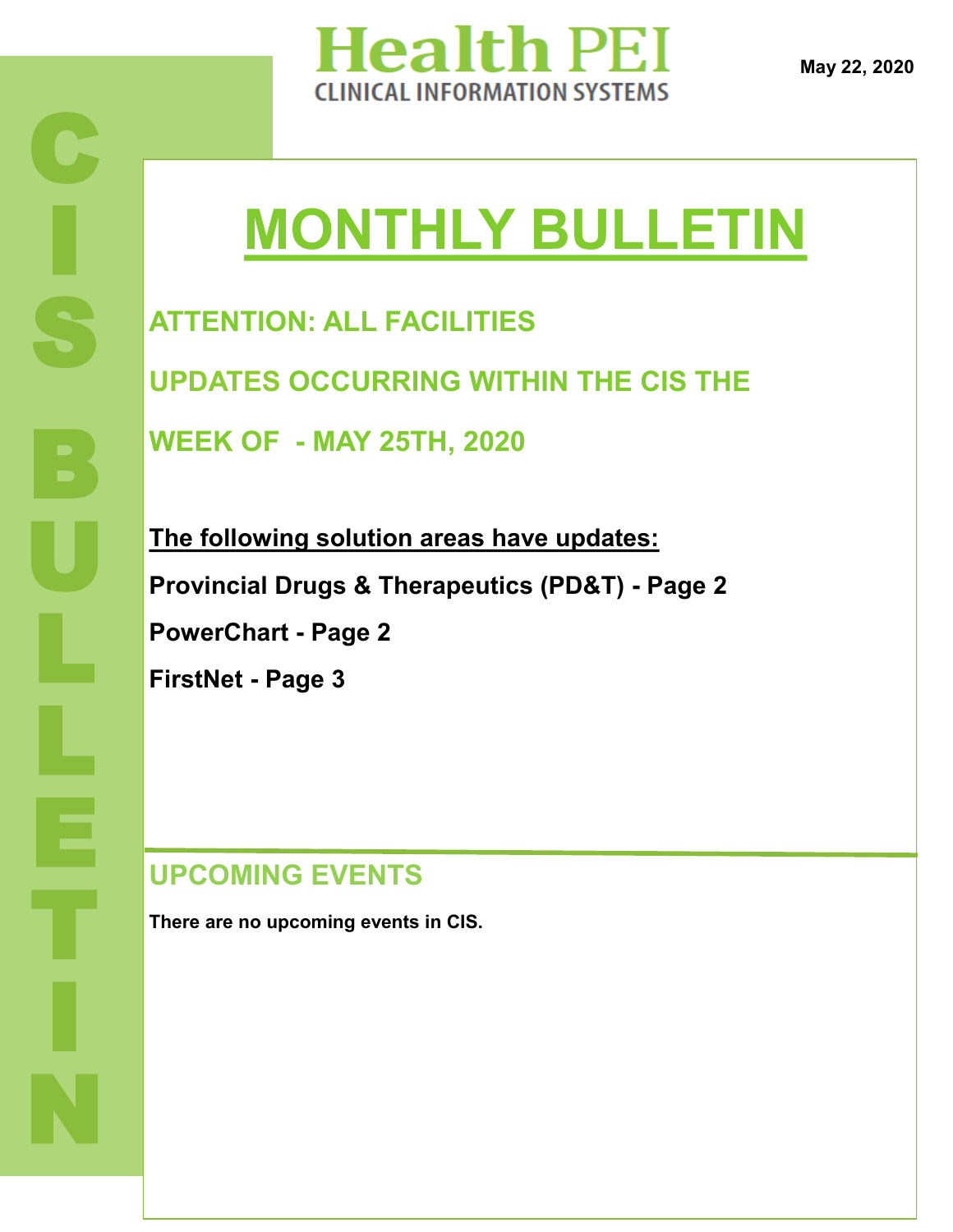

**May 22, 2020**

# **MONTHLY BULLETIN**

**ATTENTION: ALL FACILITIES UPDATES OCCURRING WITHIN THE CIS THE WEEK OF - MAY 25TH, 2020**

**The following solution areas have updates: Provincial Drugs & Therapeutics (PD&T) - Page 2 PowerChart - Page 2 FirstNet - Page 3**

## **UPCOMING EVENTS**

**There are no upcoming events in CIS.**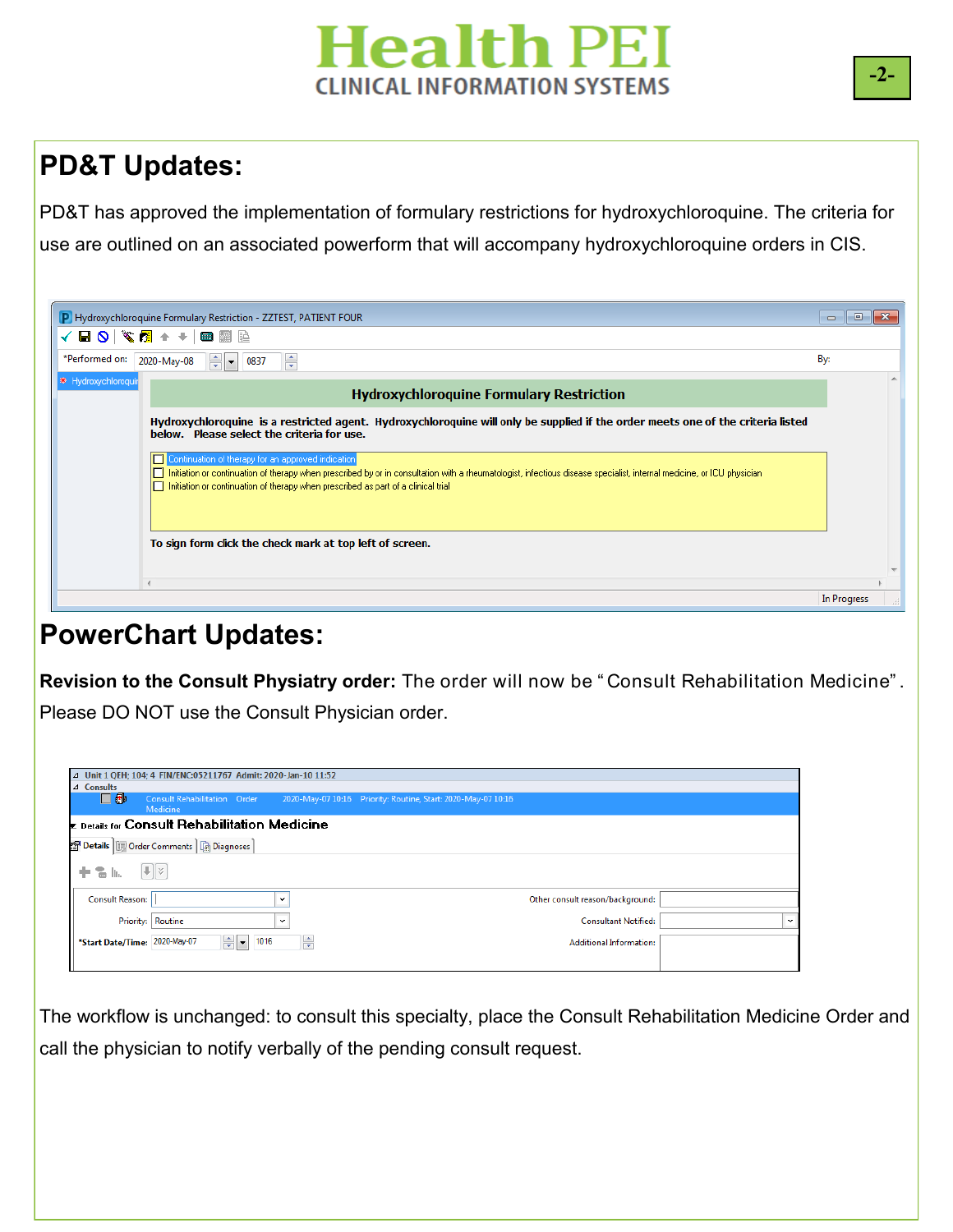# **Health PEI CLINICAL INFORMATION SYSTEMS**

# **PD&T Updates:**

PD&T has approved the implementation of formulary restrictions for hydroxychloroquine. The criteria for use are outlined on an associated powerform that will accompany hydroxychloroquine orders in CIS.

|                     | P Hydroxychloroquine Formulary Restriction - ZZTEST, PATIENT FOUR                                                                                                                                                                                                                                                  | <b>a</b><br><b>. .</b> |  |
|---------------------|--------------------------------------------------------------------------------------------------------------------------------------------------------------------------------------------------------------------------------------------------------------------------------------------------------------------|------------------------|--|
|                     |                                                                                                                                                                                                                                                                                                                    |                        |  |
|                     | *Performed on: 2020-May-08 $\frac{2}{x}$ $\rightarrow$ 0837<br>축                                                                                                                                                                                                                                                   | By:                    |  |
| * Hydroxychloroquir | <b>Hydroxychloroquine Formulary Restriction</b>                                                                                                                                                                                                                                                                    |                        |  |
|                     | Hydroxychloroquine is a restricted agent. Hydroxychloroquine will only be supplied if the order meets one of the criteria listed<br>below. Please select the criteria for use.                                                                                                                                     |                        |  |
|                     | Continuation of therapy for an approved indication<br>□ Initiation or continuation of therapy when prescribed by or in consultation with a rheumatologist, infectious disease specialist, internal medicine, or ICU physician<br>Initiation or continuation of therapy when prescribed as part of a clinical trial |                        |  |
|                     | To sign form click the check mark at top left of screen.                                                                                                                                                                                                                                                           |                        |  |
|                     |                                                                                                                                                                                                                                                                                                                    |                        |  |
|                     |                                                                                                                                                                                                                                                                                                                    | In Progress            |  |

#### **PowerChart Updates:**

**Revision to the Consult Physiatry order:** The order will now be " Consult Rehabilitation Medicine" . Please DO NOT use the Consult Physician order.

| △ Unit 1 QEH; 104; 4 FIN/ENC:05211767 Admit: 2020-Jan-10 11:52      |                                                               |  |  |  |  |  |  |
|---------------------------------------------------------------------|---------------------------------------------------------------|--|--|--|--|--|--|
| $\triangle$ Consults                                                |                                                               |  |  |  |  |  |  |
| 口雨<br><b>Consult Rehabilitation Order</b><br>Medicine               | 2020-May-07 10:16 Priority: Routine, Start: 2020-May-07 10:16 |  |  |  |  |  |  |
| $\mathbf{r}$ Details for Consult Rehabilitation Medicine            |                                                               |  |  |  |  |  |  |
| S Details   III Order Comments   @ Diagnoses                        |                                                               |  |  |  |  |  |  |
| $  \mathbf{L}   \times$<br>To In<br>÷.                              |                                                               |  |  |  |  |  |  |
| Consult Reason:<br>$\checkmark$                                     | Other consult reason/background:                              |  |  |  |  |  |  |
| Priority: Routine<br>$\checkmark$                                   | <b>Consultant Notified:</b><br>$\checkmark$                   |  |  |  |  |  |  |
| ÷ŀ<br>$\frac{1}{\sqrt{2}}$<br>1016<br>*Start Date/Time: 2020-May-07 | <b>Additional Information:</b>                                |  |  |  |  |  |  |
|                                                                     |                                                               |  |  |  |  |  |  |

The workflow is unchanged: to consult this specialty, place the Consult Rehabilitation Medicine Order and call the physician to notify verbally of the pending consult request.